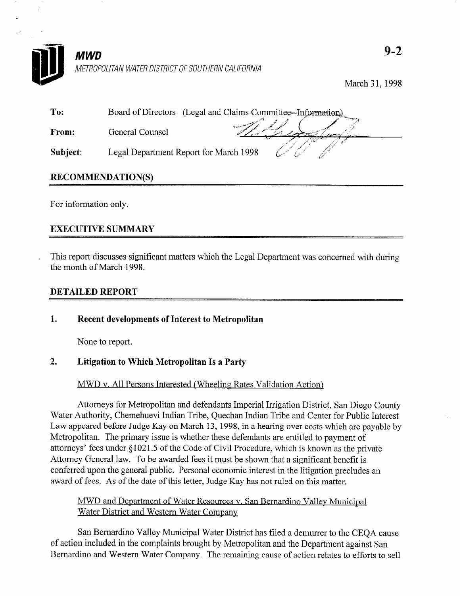

March 31,199s

| To:          |                                        | Board of Directors (Legal and Claims Committee--Information) |
|--------------|----------------------------------------|--------------------------------------------------------------|
| <b>From:</b> | General Counsel                        |                                                              |
| Subject:     | Legal Department Report for March 1998 |                                                              |

# RECOMMENDATION(S)

For information only.

# EXECUTIVE SUMMARY

This report discusses significant matters which the Legal Department was concerned with during the month of March 1998.

#### DETAILED REPORT

### 1. Recent developments of Interest to Metropolitan

None to report.

### 2. Litigation to Which Metropolitan Is a Party

### MWD v. All Persons Interested (Wheeling Rates Validation Action)

Attorneys for Metropolitan and defendants Imperial Irrigation District, San Diego County Water Authority, Chemehuevi Indian Tribe, Quechan Indian Tribe and Center for Public Interest Law appeared before Judge Kay on March 13, 1998, in a hearing over costs which are payable by Metropolitan. The primary issue is whether these defendants are entitled to payment of attorneys' fees under \$1021.5 of the Code of Civil Procedure, which is known as the private Attorney General law. To be awarded fees it must be shown that a significant benefit is conferred upon the general public. Personal economic interest in the litigation precludes an award of fees. As of the date of this letter, Judge Kay has not ruled on this matter.

## MWD and Department of Water Resources v. San Bernardino Vallev Municinal Water District and Western Water Company

San Bernardino Valley Municipal Water District has filed a demurrer to the CEQA cause of action included in the complaints brought by Metropolitan and the Department against San Bernardino and Western Water Company. The remaining cause of action relates to efforts to sell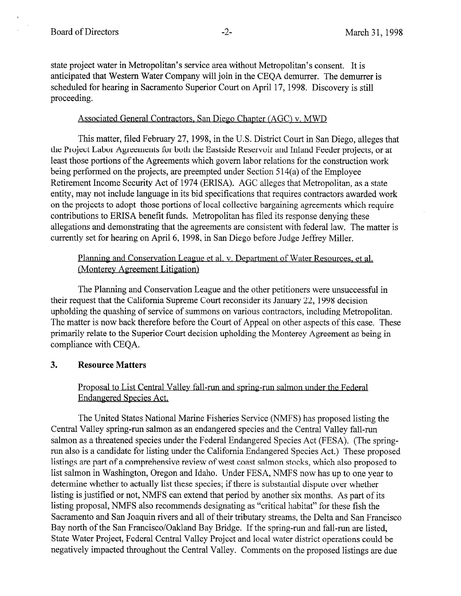state project water in Metropolitan's service area without Metropolitan's consent. It is anticipated that Western Water Company will join in the CEQA demurrer. The demurrer is scheduled for hearing in Sacramento Superior Court on April 17, 1998. Discovery is still proceeding.

### Associated General Contractors. San Diego Chapter (AGC) v. MWD

This matter, filed February 27, 1998, in the U.S. District Court in San Diego, alleges that the Project Labor Agreements for both the Eastside Reservoir and Inland Feeder projects, or at least those portions of the Agreements which govern labor relations for the construction work being performed on the projects, are preempted under Section 5 14(a) of the Employee Retirement Income Security Act of 1974 (ERISA). AGC alleges that Metropolitan, as a state entity, may not include language in its bid specifications that requires contractors awarded work on the projects to adopt those portions of local collective bargaining agreements which require contributions to ERISA benefit funds. Metropolitan has filed its response denying these allegations and demonstrating that the agreements are consistent with federal law. The matter is currently set for hearing on April 6, 1998, in San Diego before Judge Jeffrey Miller.

## Planning and Conservation League et al. v. Department of Water Resources, et al. (Monterey Agreement Litigation)

The Planning and Conservation League and the other petitioners were unsuccessful in their request that the California Supreme Court reconsider its January 22, 1998 decision upholding the quashing of service of summons on various contractors, including Metropolitan. The matter is now back therefore before the Court of Appeal on other aspects of this case. These primarily relate to the Superior Court decision upholding the Monterey Agreement as being in compliance with CEQA.

### 3. Resource Matters

## Proposal to List Central Valley fall-run and spring-run salmon under the Federal Endangered Species Act.

The United States National Marine Fisheries Service (NMFS) has proposed listing the Central Valley spring-run salmon as an endangered species and the Central Valley fall-run salmon as a threatened species under the Federal Endangered Species Act (FESA). (The springrun also is a candidate for listing under the California Endangered Species Act.) These proposed listings are part of a comprehensive review of west coast salmon stocks, which also proposed to list salmon in Washington, Oregon and Idaho. Under FESA, NMFS now has up to one year to determine whether to actually list these species; if there is substantial dispute over whether listing is justified or not, NMFS can extend that period by another six months. As part of its listing proposal, NMFS also recommends designating as "critical habitat" for these fish the Sacramento and San Joaquin rivers and all of their tributary streams, the Delta and San Francisco Bay north of the San Francisco/Oakland Bay Bridge. If the spring-run and fall-run are listed, State Water Project, Federal Central Valley Project and local water district operations could be negatively impacted throughout the Central Valley. Comments on the proposed listings are due